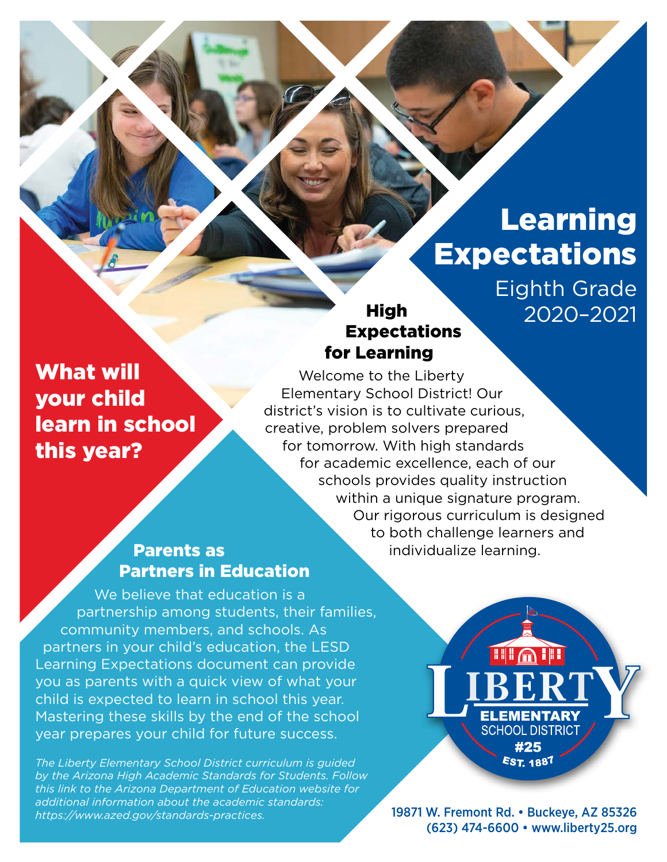# Learning **Expectations**

Eighth Grade 2020–2021

## **High** Expectations for Learning

What will your child learn in school this year?

Welcome to the Liberty Elementary School District! Our district's vision is to cultivate curious, creative, problem solvers prepared for tomorrow. With high standards for academic excellence, each of our schools provides quality instruction within a unique signature program. Our rigorous curriculum is designed to both challenge learners and individualize learning.

## Parents as Partners in Education

We believe that education is a partnership among students, their families, community members, and schools. As partners in your child's education, the LESD Learning Expectations document can provide you as parents with a quick view of what your child is expected to learn in school this year. Mastering these skills by the end of the school year prepares your child for future success.

*The Liberty Elementary School District curriculum is guided by the Arizona High Academic Standards for Students. Follow this link to the Arizona Department of Education website for additional information about the academic standards: [https://www.azed.gov/standards-practices.](https://www.azed.gov/standards-practices)*



19871 W. Fremont Rd. • Buckeye, AZ 85326 (623) 474-6600 • [www.liberty25.org](http://www.liberty25.org)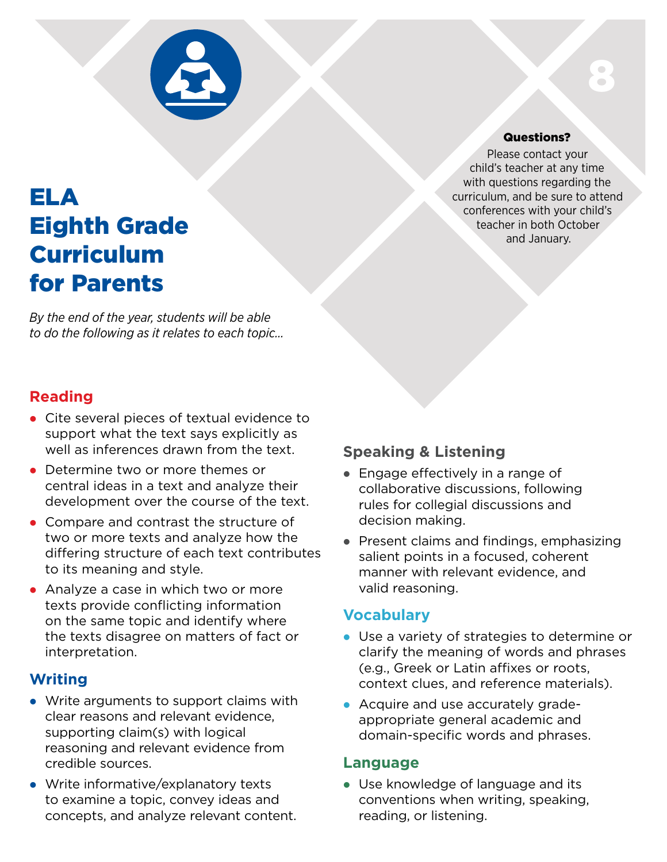

## ELA Eighth Grade Curriculum for Parents

*By the end of the year, students will be able to do the following as it relates to each topic…*

## **Reading**

- Cite several pieces of textual evidence to support what the text says explicitly as well as inferences drawn from the text.
- Determine two or more themes or central ideas in a text and analyze their development over the course of the text.
- Compare and contrast the structure of two or more texts and analyze how the differing structure of each text contributes to its meaning and style.
- Analyze a case in which two or more texts provide conflicting information on the same topic and identify where the texts disagree on matters of fact or interpretation.

## **Writing**

- Write arguments to support claims with clear reasons and relevant evidence, supporting claim(s) with logical reasoning and relevant evidence from credible sources.
- Write informative/explanatory texts to examine a topic, convey ideas and concepts, and analyze relevant content.

## Questions?

8

Please contact your child's teacher at any time with questions regarding the curriculum, and be sure to attend conferences with your child's teacher in both October and January.

## **Speaking & Listening**

- Engage effectively in a range of collaborative discussions, following rules for collegial discussions and decision making.
- Present claims and findings, emphasizing salient points in a focused, coherent manner with relevant evidence, and valid reasoning.

## **Vocabulary**

- Use a variety of strategies to determine or clarify the meaning of words and phrases (e.g., Greek or Latin affixes or roots, context clues, and reference materials).
- Acquire and use accurately gradeappropriate general academic and domain-specific words and phrases.

#### **Language**

• Use knowledge of language and its conventions when writing, speaking, reading, or listening.